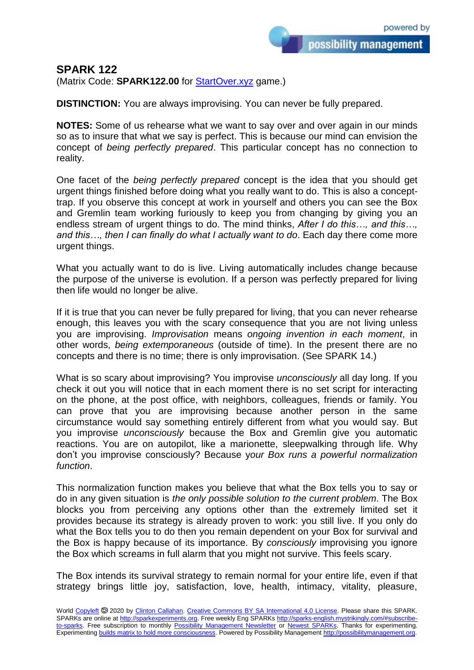possibility management

## **SPARK 122**

(Matrix Code: **SPARK122.00** for **StartOver.xyz** game.)

**DISTINCTION:** You are always improvising. You can never be fully prepared.

**NOTES:** Some of us rehearse what we want to say over and over again in our minds so as to insure that what we say is perfect. This is because our mind can envision the concept of *being perfectly prepared*. This particular concept has no connection to reality.

One facet of the *being perfectly prepared* concept is the idea that you should get urgent things finished before doing what you really want to do. This is also a concepttrap. If you observe this concept at work in yourself and others you can see the Box and Gremlin team working furiously to keep you from changing by giving you an endless stream of urgent things to do. The mind thinks, *After I do this…, and this…, and this…, then I can finally do what I actually want to do*. Each day there come more urgent things.

What you actually want to do is live. Living automatically includes change because the purpose of the universe is evolution. If a person was perfectly prepared for living then life would no longer be alive.

If it is true that you can never be fully prepared for living, that you can never rehearse enough, this leaves you with the scary consequence that you are not living unless you are improvising. *Improvisation* means *ongoing invention in each moment*, in other words, *being extemporaneous* (outside of time). In the present there are no concepts and there is no time; there is only improvisation. (See SPARK 14.)

What is so scary about improvising? You improvise *unconsciously* all day long. If you check it out you will notice that in each moment there is no set script for interacting on the phone, at the post office, with neighbors, colleagues, friends or family. You can prove that you are improvising because another person in the same circumstance would say something entirely different from what you would say. But you improvise *unconsciously* because the Box and Gremlin give you automatic reactions. You are on autopilot, like a marionette, sleepwalking through life. Why don't you improvise consciously? Because y*our Box runs a powerful normalization function*.

This normalization function makes you believe that what the Box tells you to say or do in any given situation is *the only possible solution to the current problem*. The Box blocks you from perceiving any options other than the extremely limited set it provides because its strategy is already proven to work: you still live. If you only do what the Box tells you to do then you remain dependent on your Box for survival and the Box is happy because of its importance. By *consciously* improvising you ignore the Box which screams in full alarm that you might not survive. This feels scary.

The Box intends its survival strategy to remain normal for your entire life, even if that strategy brings little joy, satisfaction, love, health, intimacy, vitality, pleasure,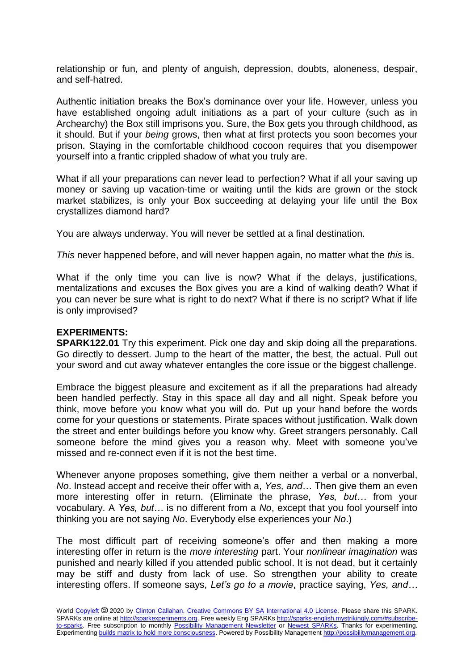relationship or fun, and plenty of anguish, depression, doubts, aloneness, despair, and self-hatred.

Authentic initiation breaks the Box's dominance over your life. However, unless you have established ongoing adult initiations as a part of your culture (such as in Archearchy) the Box still imprisons you. Sure, the Box gets you through childhood, as it should. But if your *being* grows, then what at first protects you soon becomes your prison. Staying in the comfortable childhood cocoon requires that you disempower yourself into a frantic crippled shadow of what you truly are.

What if all your preparations can never lead to perfection? What if all your saving up money or saving up vacation-time or waiting until the kids are grown or the stock market stabilizes, is only your Box succeeding at delaying your life until the Box crystallizes diamond hard?

You are always underway. You will never be settled at a final destination.

*This* never happened before, and will never happen again, no matter what the *this* is.

What if the only time you can live is now? What if the delays, justifications, mentalizations and excuses the Box gives you are a kind of walking death? What if you can never be sure what is right to do next? What if there is no script? What if life is only improvised?

## **EXPERIMENTS:**

**SPARK122.01** Try this experiment. Pick one day and skip doing all the preparations. Go directly to dessert. Jump to the heart of the matter, the best, the actual. Pull out your sword and cut away whatever entangles the core issue or the biggest challenge.

Embrace the biggest pleasure and excitement as if all the preparations had already been handled perfectly. Stay in this space all day and all night. Speak before you think, move before you know what you will do. Put up your hand before the words come for your questions or statements. Pirate spaces without justification. Walk down the street and enter buildings before you know why. Greet strangers personably. Call someone before the mind gives you a reason why. Meet with someone you've missed and re-connect even if it is not the best time.

Whenever anyone proposes something, give them neither a verbal or a nonverbal. *No*. Instead accept and receive their offer with a, *Yes, and*… Then give them an even more interesting offer in return. (Eliminate the phrase, *Yes, but…* from your vocabulary. A *Yes, but…* is no different from a *No*, except that you fool yourself into thinking you are not saying *No*. Everybody else experiences your *No*.)

The most difficult part of receiving someone's offer and then making a more interesting offer in return is the *more interesting* part. Your *nonlinear imagination* was punished and nearly killed if you attended public school. It is not dead, but it certainly may be stiff and dusty from lack of use. So strengthen your ability to create interesting offers. If someone says, *Let's go to a movie*, practice saying, *Yes, and…*